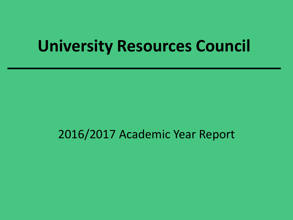#### **University Resources Council**

#### 2016/2017 Academic Year Report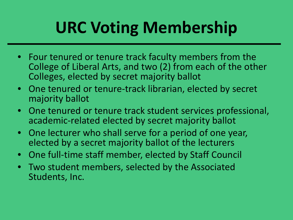# **URC Voting Membership**

- Four tenured or tenure track faculty members from the College of Liberal Arts, and two (2) from each of the other Colleges, elected by secret majority ballot
- One tenured or tenure-track librarian, elected by secret majority ballot
- One tenured or tenure track student services professional, academic-related elected by secret majority ballot
- One lecturer who shall serve for a period of one year, elected by a secret majority ballot of the lecturers
- One full-time staff member, elected by Staff Council
- Two student members, selected by the Associated Students, Inc.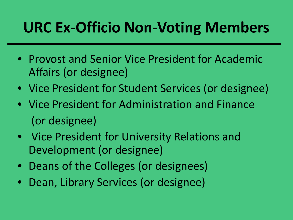### **URC Ex-Officio Non-Voting Members**

- Provost and Senior Vice President for Academic Affairs (or designee)
- Vice President for Student Services (or designee)
- Vice President for Administration and Finance (or designee)
- Vice President for University Relations and Development (or designee)
- Deans of the Colleges (or designees)
- Dean, Library Services (or designee)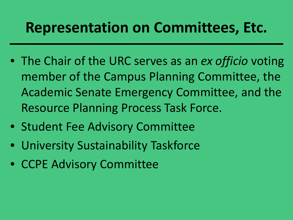#### **Representation on Committees, Etc.**

- The Chair of the URC serves as an *ex officio* voting member of the Campus Planning Committee, the Academic Senate Emergency Committee, and the Resource Planning Process Task Force.
- Student Fee Advisory Committee
- University Sustainability Taskforce
- CCPE Advisory Committee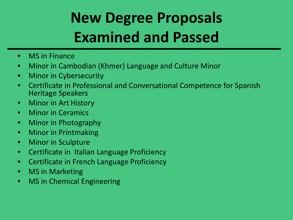## **New Degree Proposals Examined and Passed**

- MS in Finance
- Minor in Cambodian (Khmer) Language and Culture Minor
- Minor in Cybersecurity
- Certificate in Professional and Conversational Competence for Spanish Heritage Speakers
- Minor in Art History
- Minor in Ceramics
- Minor in Photography
- Minor in Printmaking
- Minor in Sculpture
- Certificate in Italian Language Proficiency
- Certificate in French Language Proficiency
- MS in Marketing
- MS in Chemical Engineering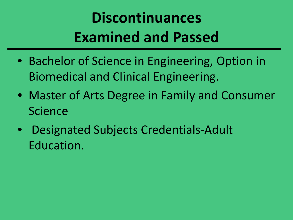## **Discontinuances Examined and Passed**

- Bachelor of Science in Engineering, Option in Biomedical and Clinical Engineering.
- Master of Arts Degree in Family and Consumer **Science**
- Designated Subjects Credentials-Adult Education.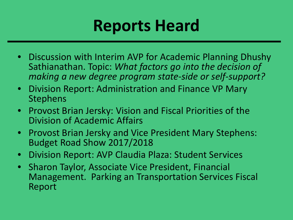## **Reports Heard**

- Discussion with Interim AVP for Academic Planning Dhushy Sathianathan. Topic: *What factors go into the decision of making a new degree program state-side or self-support?*
- Division Report: Administration and Finance VP Mary Stephens
- Provost Brian Jersky: Vision and Fiscal Priorities of the Division of Academic Affairs
- Provost Brian Jersky and Vice President Mary Stephens: Budget Road Show 2017/2018
- Division Report: AVP Claudia Plaza: Student Services
- Sharon Taylor, Associate Vice President, Financial Management. Parking an Transportation Services Fiscal Report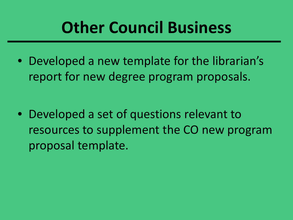## **Other Council Business**

• Developed a new template for the librarian's report for new degree program proposals.

• Developed a set of questions relevant to resources to supplement the CO new program proposal template.